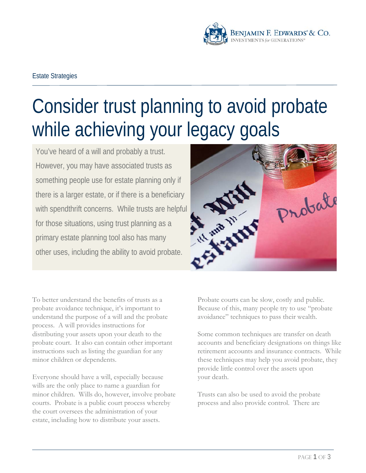

## Estate Strategies

# Consider trust planning to avoid probate while achieving your legacy goals

You've heard of a will and probably a trust. However, you may have associated trusts as something people use for estate planning only if there is a larger estate, or if there is a beneficiary with spendthrift concerns. While trusts are helpful for those situations, using trust planning as a primary estate planning tool also has many other uses, including the ability to avoid probate.



Everyone should have a will, especially because wills are the only place to name a guardian for minor children. Wills do, however, involve probate courts. Probate is a public court process whereby the court oversees the administration of your estate, including how to distribute your assets.



Probate courts can be slow, costly and public. Because of this, many people try to use "probate avoidance" techniques to pass their wealth.

Some common techniques are transfer on death accounts and beneficiary designations on things like retirement accounts and insurance contracts. While these techniques may help you avoid probate, they provide little control over the assets upon your death.

Trusts can also be used to avoid the probate process and also provide control. There are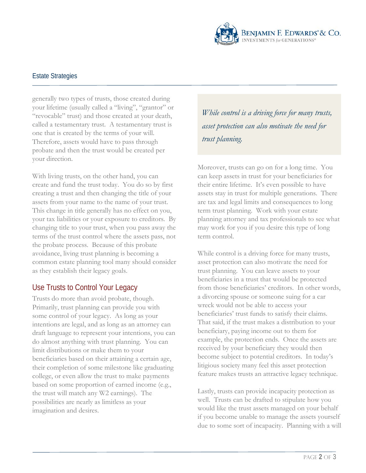

### Estate Strategies

generally two types of trusts, those created during your lifetime (usually called a "living", "grantor" or "revocable" trust) and those created at your death, called a testamentary trust. A testamentary trust is one that is created by the terms of your will. Therefore, assets would have to pass through probate and then the trust would be created per your direction.

With living trusts, on the other hand, you can create and fund the trust today. You do so by first creating a trust and then changing the title of your assets from your name to the name of your trust. This change in title generally has no effect on you, your tax liabilities or your exposure to creditors. By changing title to your trust, when you pass away the terms of the trust control where the assets pass, not the probate process. Because of this probate avoidance, living trust planning is becoming a common estate planning tool many should consider as they establish their legacy goals.

## Use Trusts to Control Your Legacy

Trusts do more than avoid probate, though. Primarily, trust planning can provide you with some control of your legacy. As long as your intentions are legal, and as long as an attorney can draft language to represent your intentions, you can do almost anything with trust planning. You can limit distributions or make them to your beneficiaries based on their attaining a certain age, their completion of some milestone like graduating college, or even allow the trust to make payments based on some proportion of earned income (e.g., the trust will match any W2 earnings). The possibilities are nearly as limitless as your imagination and desires.

*While control is a driving force for many trusts, asset protection can also motivate the need for trust planning.*

Moreover, trusts can go on for a long time. You can keep assets in trust for your beneficiaries for their entire lifetime. It's even possible to have assets stay in trust for multiple generations. There are tax and legal limits and consequences to long term trust planning. Work with your estate planning attorney and tax professionals to see what may work for you if you desire this type of long term control.

While control is a driving force for many trusts, asset protection can also motivate the need for trust planning. You can leave assets to your beneficiaries in a trust that would be protected from those beneficiaries' creditors. In other words, a divorcing spouse or someone suing for a car wreck would not be able to access your beneficiaries' trust funds to satisfy their claims. That said, if the trust makes a distribution to your beneficiary, paying income out to them for example, the protection ends. Once the assets are received by your beneficiary they would then become subject to potential creditors. In today's litigious society many feel this asset protection feature makes trusts an attractive legacy technique.

Lastly, trusts can provide incapacity protection as well. Trusts can be drafted to stipulate how you would like the trust assets managed on your behalf if you become unable to manage the assets yourself due to some sort of incapacity. Planning with a will